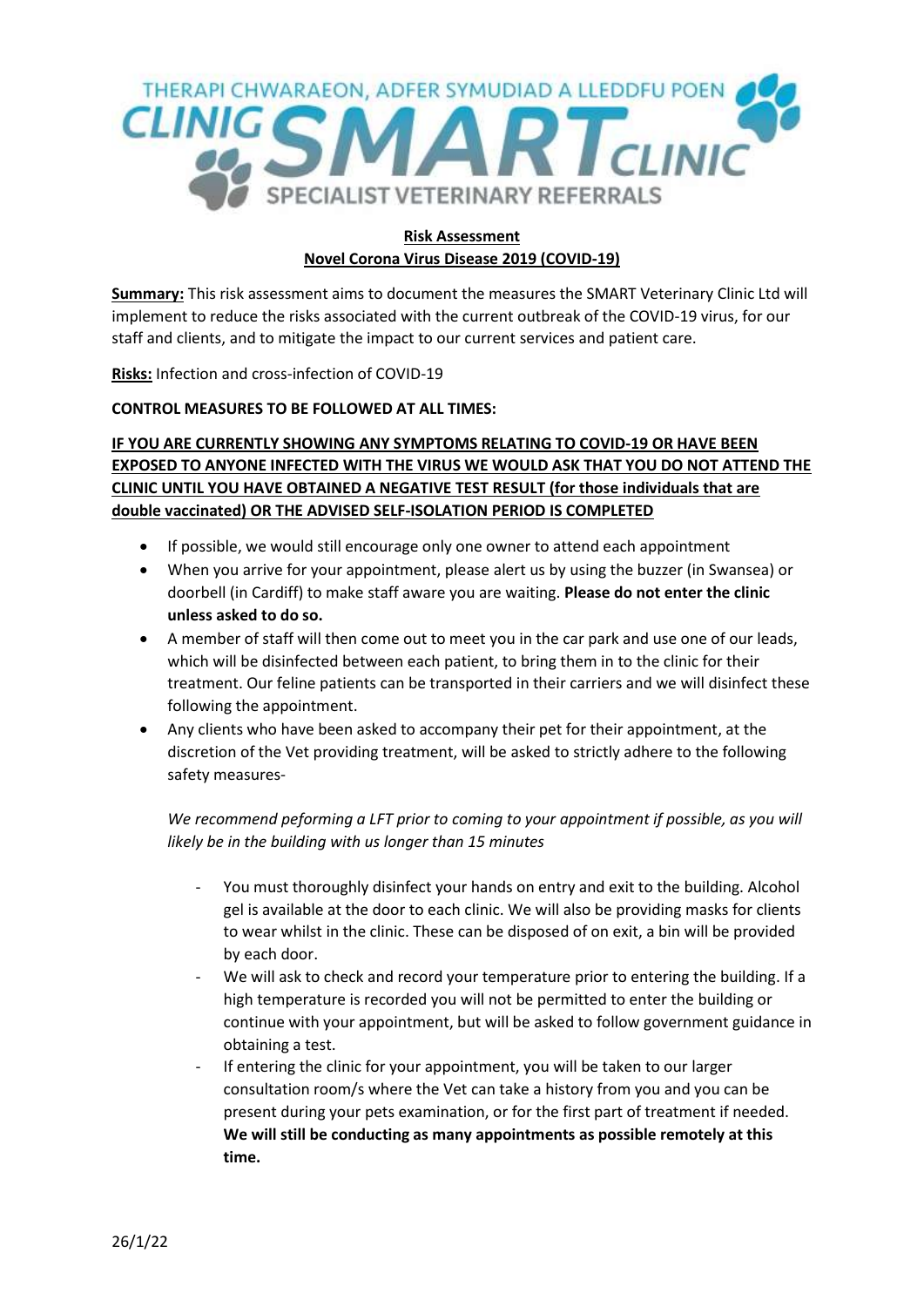

## **Risk Assessment Novel Corona Virus Disease 2019 (COVID-19)**

**Summary:** This risk assessment aims to document the measures the SMART Veterinary Clinic Ltd will implement to reduce the risks associated with the current outbreak of the COVID-19 virus, for our staff and clients, and to mitigate the impact to our current services and patient care.

**Risks:** Infection and cross-infection of COVID-19

## **CONTROL MEASURES TO BE FOLLOWED AT ALL TIMES:**

## **IF YOU ARE CURRENTLY SHOWING ANY SYMPTOMS RELATING TO COVID-19 OR HAVE BEEN EXPOSED TO ANYONE INFECTED WITH THE VIRUS WE WOULD ASK THAT YOU DO NOT ATTEND THE CLINIC UNTIL YOU HAVE OBTAINED A NEGATIVE TEST RESULT (for those individuals that are double vaccinated) OR THE ADVISED SELF-ISOLATION PERIOD IS COMPLETED**

- If possible, we would still encourage only one owner to attend each appointment
- When you arrive for your appointment, please alert us by using the buzzer (in Swansea) or doorbell (in Cardiff) to make staff aware you are waiting. **Please do not enter the clinic unless asked to do so.**
- A member of staff will then come out to meet you in the car park and use one of our leads, which will be disinfected between each patient, to bring them in to the clinic for their treatment. Our feline patients can be transported in their carriers and we will disinfect these following the appointment.
- Any clients who have been asked to accompany their pet for their appointment, at the discretion of the Vet providing treatment, will be asked to strictly adhere to the following safety measures-

## *We recommend peforming a LFT prior to coming to your appointment if possible, as you will likely be in the building with us longer than 15 minutes*

- You must thoroughly disinfect your hands on entry and exit to the building. Alcohol gel is available at the door to each clinic. We will also be providing masks for clients to wear whilst in the clinic. These can be disposed of on exit, a bin will be provided by each door.
- We will ask to check and record your temperature prior to entering the building. If a high temperature is recorded you will not be permitted to enter the building or continue with your appointment, but will be asked to follow government guidance in obtaining a test.
- If entering the clinic for your appointment, you will be taken to our larger consultation room/s where the Vet can take a history from you and you can be present during your pets examination, or for the first part of treatment if needed. **We will still be conducting as many appointments as possible remotely at this time.**